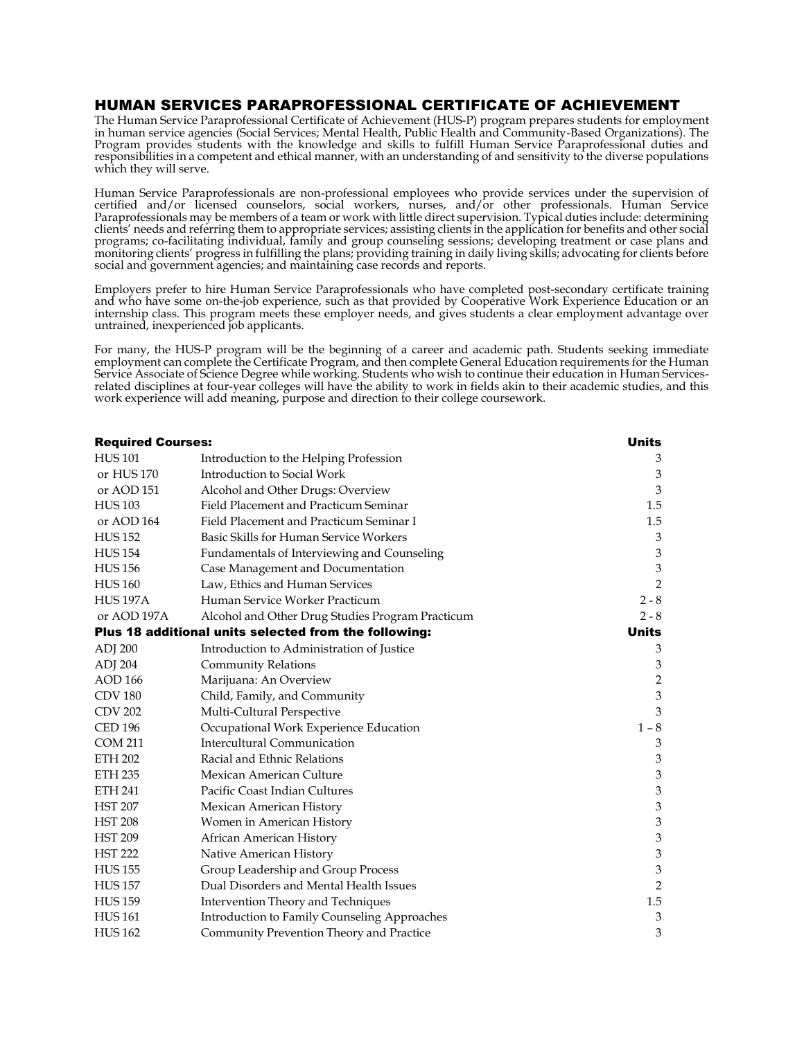## HUMAN SERVICES PARAPROFESSIONAL CERTIFICATE OF ACHIEVEMENT

The Human Service Paraprofessional Certificate of Achievement (HUS-P) program prepares students for employment in human service agencies (Social Services; Mental Health, Public Health and Community-Based Organizations). The Program provides students with the knowledge and skills to fulfill Human Service Paraprofessional duties and responsibilities in a competent and ethical manner, with an understanding of and sensitivity to the diverse populations which they will serve.

Human Service Paraprofessionals are non-professional employees who provide services under the supervision of certified and/or licensed counselors, social workers, nurses, and/or other professionals. Human Service Paraprofessionals may be members of a team or work with little direct supervision. Typical duties include: determining clients' needs and referring them to appropriate services; assisting clients in the application for benefits and other social programs; co-facilitating individual, family and group counseling sessions; developing treatment or case plans and monitoring clients' progress in fulfilling the plans; providing training in daily living skills; advocating for clients before social and government agencies; and maintaining case records and reports.

Employers prefer to hire Human Service Paraprofessionals who have completed post-secondary certificate training and who have some on-the-job experience, such as that provided by Cooperative Work Experience Education or an internship class. This program meets these employer needs, and gives students a clear employment advantage over untrained, inexperienced job applicants.

For many, the HUS-P program will be the beginning of a career and academic path. Students seeking immediate employment can complete the Certificate Program, and then complete General Education requirements for the Human Service Associate of Science Degree while working. Students who wish to continue their education in Human Servicesrelated disciplines at four-year colleges will have the ability to work in fields akin to their academic studies, and this work experience will add meaning, purpose and direction to their college coursework.

| <b>Required Courses:</b> |                                                       | <b>Units</b>              |
|--------------------------|-------------------------------------------------------|---------------------------|
| <b>HUS101</b>            | Introduction to the Helping Profession                | 3                         |
| or HUS 170               | Introduction to Social Work                           | 3                         |
| or AOD 151               | Alcohol and Other Drugs: Overview                     | $\mathfrak{Z}$            |
| <b>HUS 103</b>           | Field Placement and Practicum Seminar                 | 1.5                       |
| or AOD 164               | Field Placement and Practicum Seminar I               | 1.5                       |
| <b>HUS 152</b>           | Basic Skills for Human Service Workers                | 3                         |
| <b>HUS 154</b>           | Fundamentals of Interviewing and Counseling           | 3                         |
| <b>HUS 156</b>           | Case Management and Documentation                     | $\ensuremath{\mathbf{3}}$ |
| <b>HUS160</b>            | Law, Ethics and Human Services                        | $\overline{2}$            |
| <b>HUS 197A</b>          | Human Service Worker Practicum                        | $2 - 8$                   |
| or AOD 197A              | Alcohol and Other Drug Studies Program Practicum      | $2 - 8$                   |
|                          | Plus 18 additional units selected from the following: | <b>Units</b>              |
| ADJ 200                  | Introduction to Administration of Justice             | 3                         |
| ADJ 204                  | <b>Community Relations</b>                            | 3                         |
| <b>AOD 166</b>           | Marijuana: An Overview                                | $\sqrt{2}$                |
| <b>CDV 180</b>           | Child, Family, and Community                          | $\ensuremath{\mathbf{3}}$ |
| <b>CDV 202</b>           | Multi-Cultural Perspective                            | 3                         |
| <b>CED 196</b>           | Occupational Work Experience Education                | $1 - 8$                   |
| <b>COM 211</b>           | Intercultural Communication                           | 3                         |
| <b>ETH 202</b>           | Racial and Ethnic Relations                           | 3                         |
| <b>ETH 235</b>           | Mexican American Culture                              | 3                         |
| <b>ETH 241</b>           | Pacific Coast Indian Cultures                         | $\ensuremath{\mathsf{3}}$ |
| <b>HST 207</b>           | Mexican American History                              | $\mathfrak{Z}$            |
| <b>HST 208</b>           | Women in American History                             | $\ensuremath{\mathbf{3}}$ |
| <b>HST 209</b>           | African American History                              | $\ensuremath{\mathbf{3}}$ |
| <b>HST 222</b>           | Native American History                               | $\ensuremath{\mathbf{3}}$ |
| <b>HUS 155</b>           | Group Leadership and Group Process                    | 3                         |
| <b>HUS 157</b>           | Dual Disorders and Mental Health Issues               | $\overline{2}$            |
| <b>HUS 159</b>           | Intervention Theory and Techniques                    | 1.5                       |
| <b>HUS161</b>            | Introduction to Family Counseling Approaches          | 3                         |
| <b>HUS162</b>            | Community Prevention Theory and Practice              | 3                         |